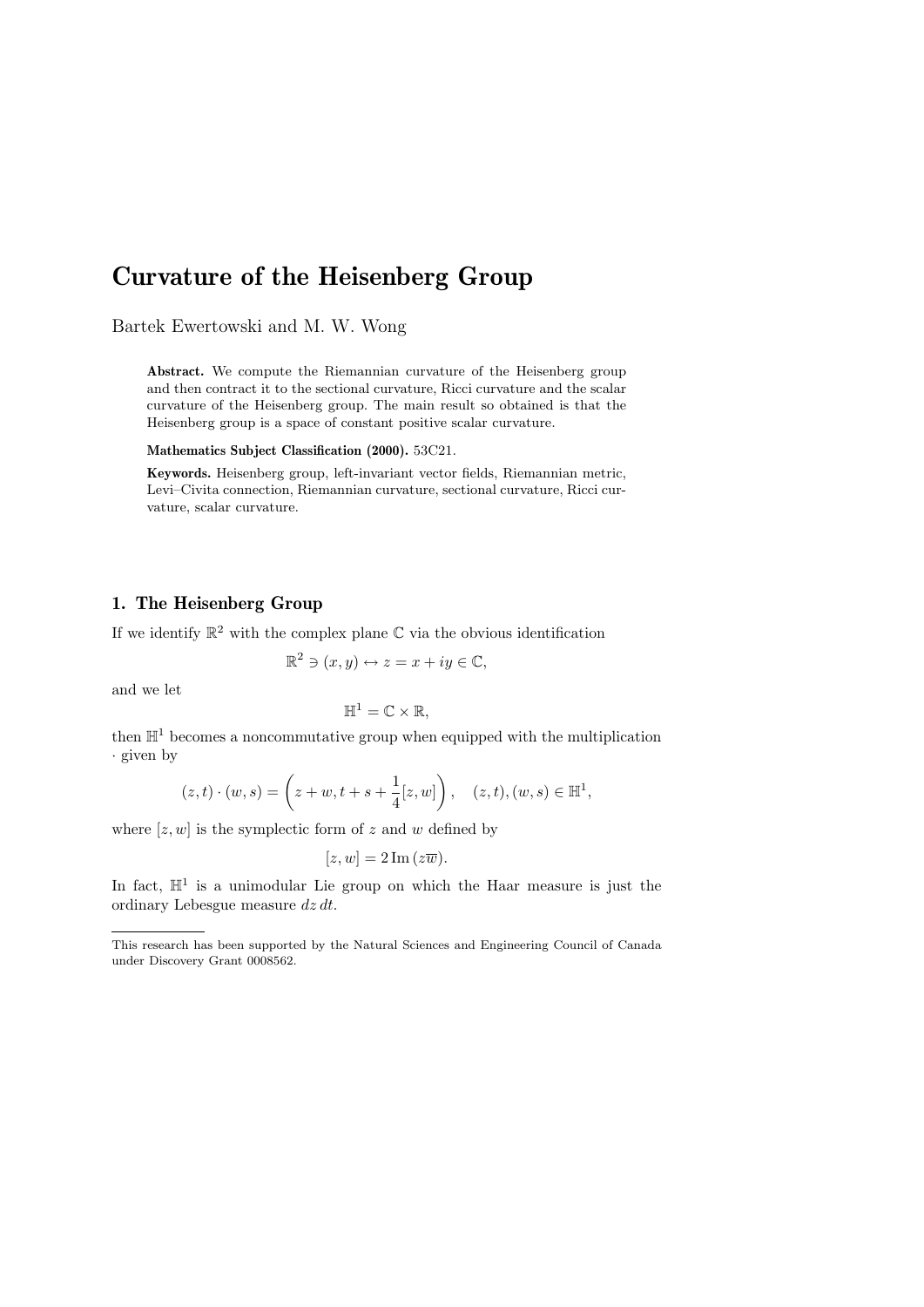# Curvature of the Heisenberg Group

Bartek Ewertowski and M. W. Wong

Abstract. We compute the Riemannian curvature of the Heisenberg group and then contract it to the sectional curvature, Ricci curvature and the scalar curvature of the Heisenberg group. The main result so obtained is that the Heisenberg group is a space of constant positive scalar curvature.

Mathematics Subject Classification (2000). 53C21.

Keywords. Heisenberg group, left-invariant vector fields, Riemannian metric, Levi–Civita connection, Riemannian curvature, sectional curvature, Ricci curvature, scalar curvature.

# 1. The Heisenberg Group

If we identify  $\mathbb{R}^2$  with the complex plane  $\mathbb C$  via the obvious identification

$$
\mathbb{R}^2 \ni (x, y) \leftrightarrow z = x + iy \in \mathbb{C},
$$

and we let

$$
\mathbb{H}^1=\mathbb{C}\times\mathbb{R},
$$

then  $\mathbb{H}^1$  becomes a noncommutative group when equipped with the multiplication · given by

$$
(z,t) \cdot (w,s) = \left(z+w, t+s+\frac{1}{4}[z,w]\right), \quad (z,t), (w,s) \in \mathbb{H}^1,
$$

where  $[z, w]$  is the symplectic form of z and w defined by

$$
[z, w] = 2 \operatorname{Im} (z \overline{w}).
$$

In fact,  $\mathbb{H}^1$  is a unimodular Lie group on which the Haar measure is just the ordinary Lebesgue measure dz dt.

This research has been supported by the Natural Sciences and Engineering Council of Canada under Discovery Grant 0008562.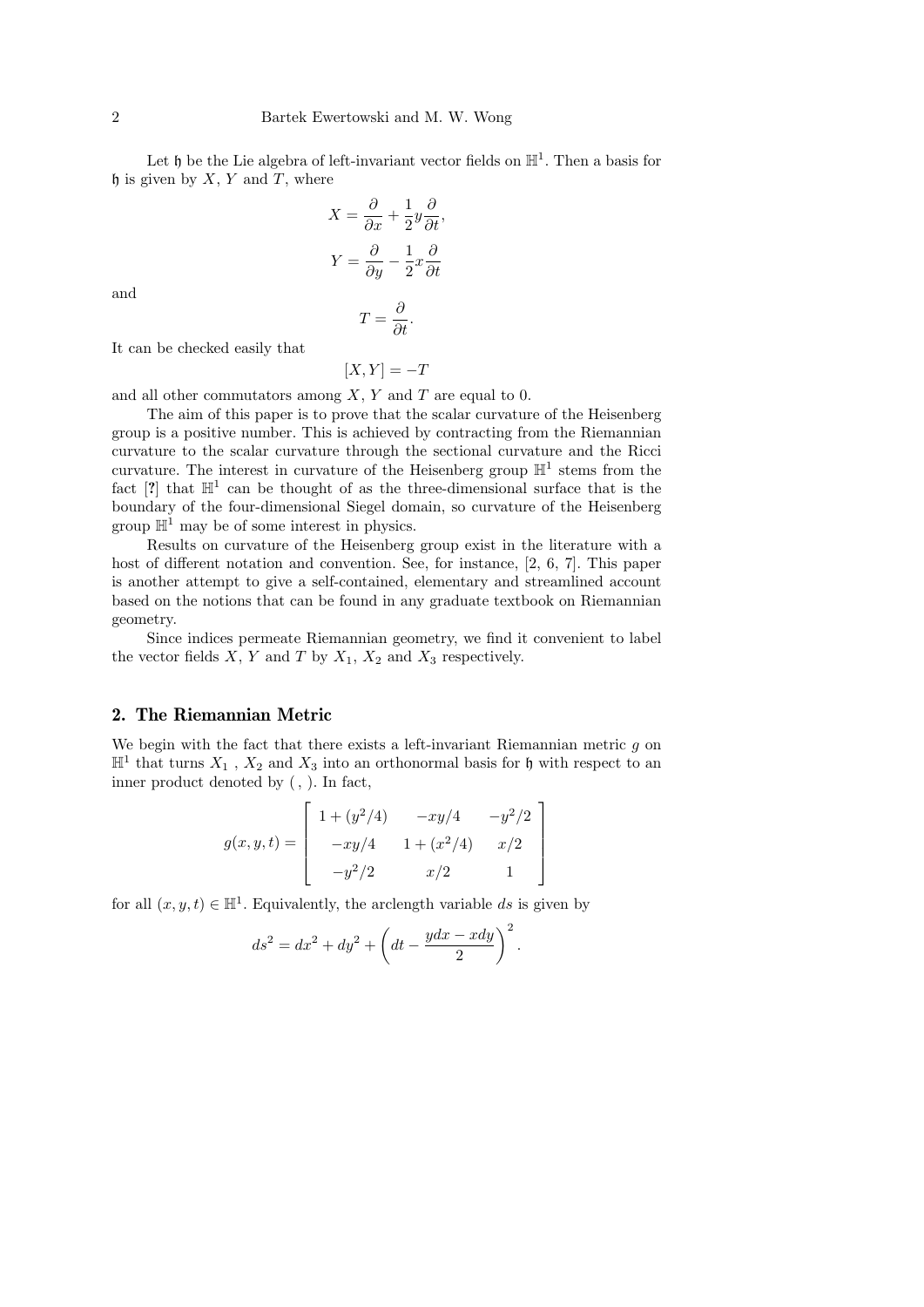Let  $\mathfrak h$  be the Lie algebra of left-invariant vector fields on  $\mathbb H^1$ . Then a basis for  $\mathfrak h$  is given by X, Y and T, where

$$
X = \frac{\partial}{\partial x} + \frac{1}{2}y\frac{\partial}{\partial t},
$$

$$
Y = \frac{\partial}{\partial y} - \frac{1}{2}x\frac{\partial}{\partial t}
$$

and

$$
T=\frac{\sigma}{\partial t}.
$$

∂

It can be checked easily that

$$
[X,Y] = -T
$$

and all other commutators among  $X, Y$  and  $T$  are equal to 0.

The aim of this paper is to prove that the scalar curvature of the Heisenberg group is a positive number. This is achieved by contracting from the Riemannian curvature to the scalar curvature through the sectional curvature and the Ricci curvature. The interest in curvature of the Heisenberg group  $\mathbb{H}^1$  stems from the fact  $[?]$  that  $\mathbb{H}^1$  can be thought of as the three-dimensional surface that is the boundary of the four-dimensional Siegel domain, so curvature of the Heisenberg group  $\mathbb{H}^1$  may be of some interest in physics.

Results on curvature of the Heisenberg group exist in the literature with a host of different notation and convention. See, for instance, [2, 6, 7]. This paper is another attempt to give a self-contained, elementary and streamlined account based on the notions that can be found in any graduate textbook on Riemannian geometry.

Since indices permeate Riemannian geometry, we find it convenient to label the vector fields  $X$ ,  $Y$  and  $T$  by  $X_1$ ,  $X_2$  and  $X_3$  respectively.

### 2. The Riemannian Metric

We begin with the fact that there exists a left-invariant Riemannian metric  $q$  on  $\mathbb{H}^1$  that turns  $X_1$ ,  $X_2$  and  $X_3$  into an orthonormal basis for h with respect to an inner product denoted by (, ). In fact,

$$
g(x, y, t) = \begin{bmatrix} 1 + (y^2/4) & -xy/4 & -y^2/2 \\ -xy/4 & 1 + (x^2/4) & x/2 \\ -y^2/2 & x/2 & 1 \end{bmatrix}
$$

for all  $(x, y, t) \in \mathbb{H}^1$ . Equivalently, the arclength variable ds is given by

$$
ds2 = dx2 + dy2 + \left(dt - \frac{ydx - xdy}{2}\right)2.
$$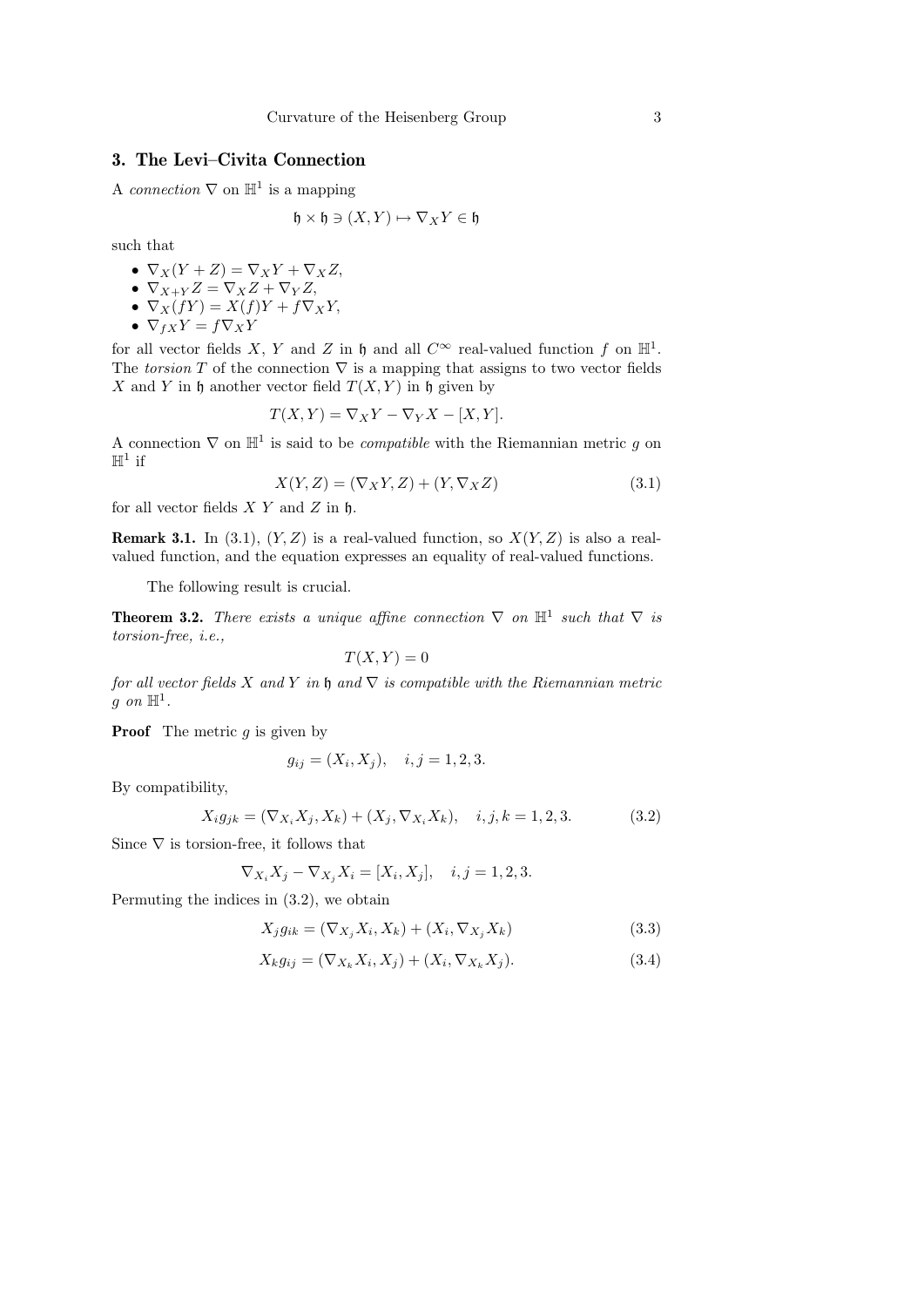## 3. The Levi–Civita Connection

A connection  $\nabla$  on  $\mathbb{H}^1$  is a mapping

$$
\mathfrak{h}\times\mathfrak{h}\ni(X,Y)\mapsto\nabla_XY\in\mathfrak{h}
$$

such that

- $\nabla_X(Y+Z) = \nabla_X Y + \nabla_X Z,$ •  $\nabla_{X+Y} Z = \nabla_X Z + \nabla_Y Z,$
- $\nabla_X(fY) = X(f)Y + f\nabla_X Y,$
- $\nabla_{fX}Y = f\nabla_{X}Y$

for all vector fields X, Y and Z in h and all  $C^{\infty}$  real-valued function f on  $\mathbb{H}^{1}$ . The torsion T of the connection  $\nabla$  is a mapping that assigns to two vector fields X and Y in h another vector field  $T(X, Y)$  in h given by

$$
T(X,Y) = \nabla_X Y - \nabla_Y X - [X,Y].
$$

A connection  $\nabla$  on  $\mathbb{H}^1$  is said to be *compatible* with the Riemannian metric g on  $\mathbb{H}^1$  if

$$
X(Y, Z) = (\nabla_X Y, Z) + (Y, \nabla_X Z)
$$
\n(3.1)

for all vector fields  $X$  Y and Z in  $\mathfrak h$ .

**Remark 3.1.** In (3.1),  $(Y, Z)$  is a real-valued function, so  $X(Y, Z)$  is also a realvalued function, and the equation expresses an equality of real-valued functions.

The following result is crucial.

**Theorem 3.2.** There exists a unique affine connection  $\nabla$  on  $\mathbb{H}^1$  such that  $\nabla$  is torsion-free, i.e.,

$$
T(X,Y) = 0
$$

for all vector fields X and Y in h and  $\nabla$  is compatible with the Riemannian metric g on  $\mathbb{H}^1$ .

**Proof** The metric  $q$  is given by

$$
g_{ij} = (X_i, X_j), \quad i, j = 1, 2, 3.
$$

By compatibility,

$$
X_i g_{jk} = (\nabla_{X_i} X_j, X_k) + (X_j, \nabla_{X_i} X_k), \quad i, j, k = 1, 2, 3. \tag{3.2}
$$

Since  $\nabla$  is torsion-free, it follows that

$$
\nabla_{X_i} X_j - \nabla_{X_j} X_i = [X_i, X_j], \quad i, j = 1, 2, 3.
$$

Permuting the indices in (3.2), we obtain

$$
X_j g_{ik} = (\nabla_{X_j} X_i, X_k) + (X_i, \nabla_{X_j} X_k)
$$
\n(3.3)

$$
X_k g_{ij} = (\nabla_{X_k} X_i, X_j) + (X_i, \nabla_{X_k} X_j). \tag{3.4}
$$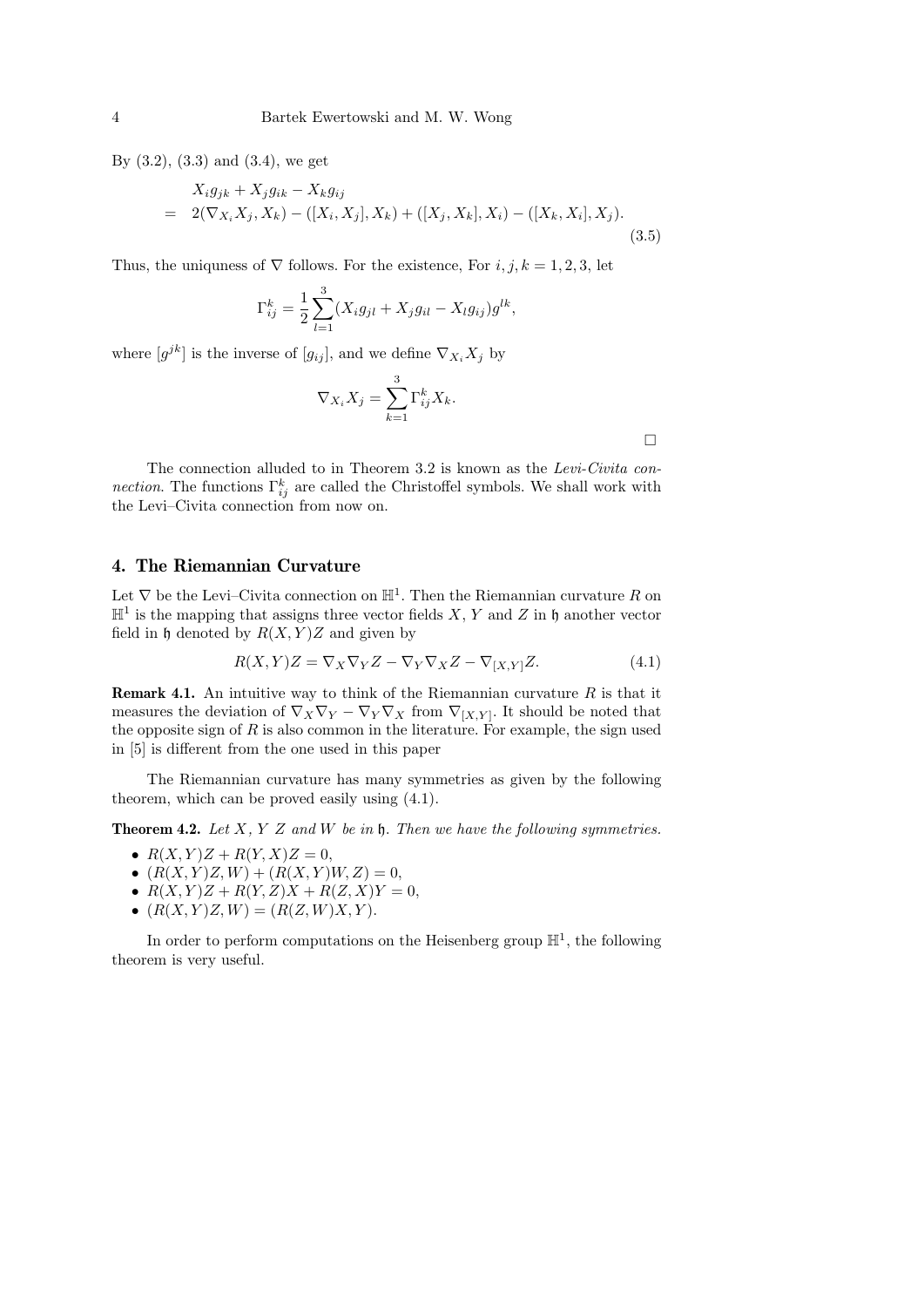By (3.2), (3.3) and (3.4), we get

$$
X_i g_{jk} + X_j g_{ik} - X_k g_{ij}
$$
  
= 2( $\nabla_{X_i} X_j, X_k$ ) - ([ $X_i, X_j$ ],  $X_k$ ) + ([ $X_j, X_k$ ],  $X_i$ ) - ([ $X_k, X_i$ ],  $X_j$ ). (3.5)

Thus, the uniquess of  $\nabla$  follows. For the existence, For i, j, k = 1, 2, 3, let

$$
\Gamma_{ij}^k = \frac{1}{2} \sum_{l=1}^3 (X_i g_{jl} + X_j g_{il} - X_l g_{ij}) g^{lk},
$$

where  $[g^{jk}]$  is the inverse of  $[g_{ij}]$ , and we define  $\nabla_{X_i} X_j$  by

$$
\nabla_{X_i} X_j = \sum_{k=1}^3 \Gamma_{ij}^k X_k.
$$

 $\Box$ 

The connection alluded to in Theorem 3.2 is known as the Levi-Civita con*nection*. The functions  $\Gamma_{ij}^k$  are called the Christoffel symbols. We shall work with the Levi–Civita connection from now on.

#### 4. The Riemannian Curvature

Let  $\nabla$  be the Levi–Civita connection on  $\mathbb{H}^1$ . Then the Riemannian curvature R on  $\mathbb{H}^1$  is the mapping that assigns three vector fields X, Y and Z in h another vector field in  $\mathfrak h$  denoted by  $R(X, Y)Z$  and given by

$$
R(X,Y)Z = \nabla_X \nabla_Y Z - \nabla_Y \nabla_X Z - \nabla_{[X,Y]} Z.
$$
\n(4.1)

**Remark 4.1.** An intuitive way to think of the Riemannian curvature  $R$  is that it measures the deviation of  $\nabla_X \nabla_Y - \nabla_Y \nabla_X$  from  $\nabla_{[X,Y]}$ . It should be noted that the opposite sign of  $R$  is also common in the literature. For example, the sign used in [5] is different from the one used in this paper

The Riemannian curvature has many symmetries as given by the following theorem, which can be proved easily using (4.1).

**Theorem 4.2.** Let  $X, Y, Z$  and  $W$  be in  $\mathfrak{h}$ . Then we have the following symmetries.

- $R(X, Y)Z + R(Y, X)Z = 0$ ,
- $(R(X, Y)Z, W) + (R(X, Y)W, Z) = 0,$
- $R(X, Y)Z + R(Y, Z)X + R(Z, X)Y = 0,$
- $(R(X, Y)Z, W) = (R(Z, W)X, Y).$

In order to perform computations on the Heisenberg group  $\mathbb{H}^1$ , the following theorem is very useful.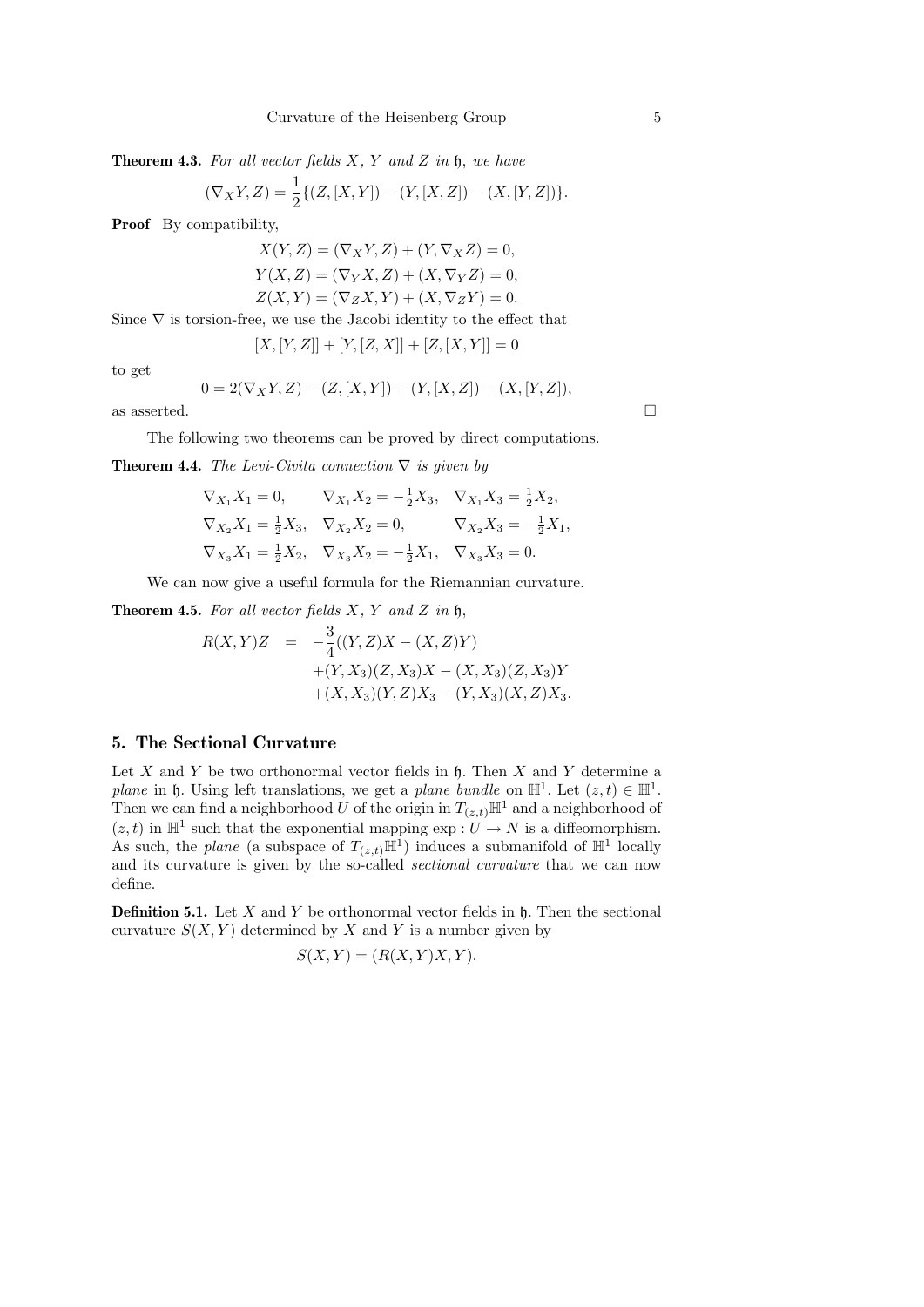**Theorem 4.3.** For all vector fields  $X$ ,  $Y$  and  $Z$  in  $\mathfrak{h}$ , we have

$$
(\nabla_X Y, Z) = \frac{1}{2} \{ (Z, [X, Y]) - (Y, [X, Z]) - (X, [Y, Z]) \}.
$$

Proof By compatibility,

$$
X(Y, Z) = (\nabla_X Y, Z) + (Y, \nabla_X Z) = 0,
$$
  
\n
$$
Y(X, Z) = (\nabla_Y X, Z) + (X, \nabla_Y Z) = 0,
$$
  
\n
$$
Z(X, Y) = (\nabla_Z X, Y) + (X, \nabla_Z Y) = 0.
$$

Since  $\nabla$  is torsion-free, we use the Jacobi identity to the effect that

$$
[X, [Y, Z]] + [Y, [Z, X]] + [Z, [X, Y]] = 0
$$

to get

$$
0=2(\nabla_XY,Z)-(Z,[X,Y])+(Y,[X,Z])+(X,[Y,Z]),
$$
 as asserted.

The following two theorems can be proved by direct computations.

**Theorem 4.4.** The Levi-Civita connection  $\nabla$  is given by

$$
\nabla_{X_1} X_1 = 0, \qquad \nabla_{X_1} X_2 = -\frac{1}{2} X_3, \quad \nabla_{X_1} X_3 = \frac{1}{2} X_2,
$$
  
\n
$$
\nabla_{X_2} X_1 = \frac{1}{2} X_3, \quad \nabla_{X_2} X_2 = 0, \qquad \nabla_{X_2} X_3 = -\frac{1}{2} X_1,
$$
  
\n
$$
\nabla_{X_3} X_1 = \frac{1}{2} X_2, \quad \nabla_{X_3} X_2 = -\frac{1}{2} X_1, \quad \nabla_{X_3} X_3 = 0.
$$

We can now give a useful formula for the Riemannian curvature.

**Theorem 4.5.** For all vector fields  $X$ ,  $Y$  and  $Z$  in  $\mathfrak{h}$ ,

$$
R(X,Y)Z = -\frac{3}{4}((Y,Z)X - (X,Z)Y) + (Y,X_3)(Z,X_3)X - (X,X_3)(Z,X_3)Y + (X,X_3)(Y,Z)X_3 - (Y,X_3)(X,Z)X_3.
$$

# 5. The Sectional Curvature

Let  $X$  and  $Y$  be two orthonormal vector fields in  $\mathfrak h$ . Then  $X$  and  $Y$  determine a plane in  $\mathfrak h$ . Using left translations, we get a plane bundle on  $\mathbb{H}^1$ . Let  $(z, t) \in \mathbb{H}^1$ . Then we can find a neighborhood U of the origin in  $T_{(z,t)}\mathbb{H}^1$  and a neighborhood of  $(z, t)$  in  $\mathbb{H}^1$  such that the exponential mapping  $\exp: U \to N$  is a diffeomorphism. As such, the plane (a subspace of  $T_{(z,t)}\mathbb{H}^1$ ) induces a submanifold of  $\mathbb{H}^1$  locally and its curvature is given by the so-called sectional curvature that we can now define.

**Definition 5.1.** Let X and Y be orthonormal vector fields in  $\mathfrak{h}$ . Then the sectional curvature  $S(X, Y)$  determined by X and Y is a number given by

$$
S(X, Y) = (R(X, Y)X, Y).
$$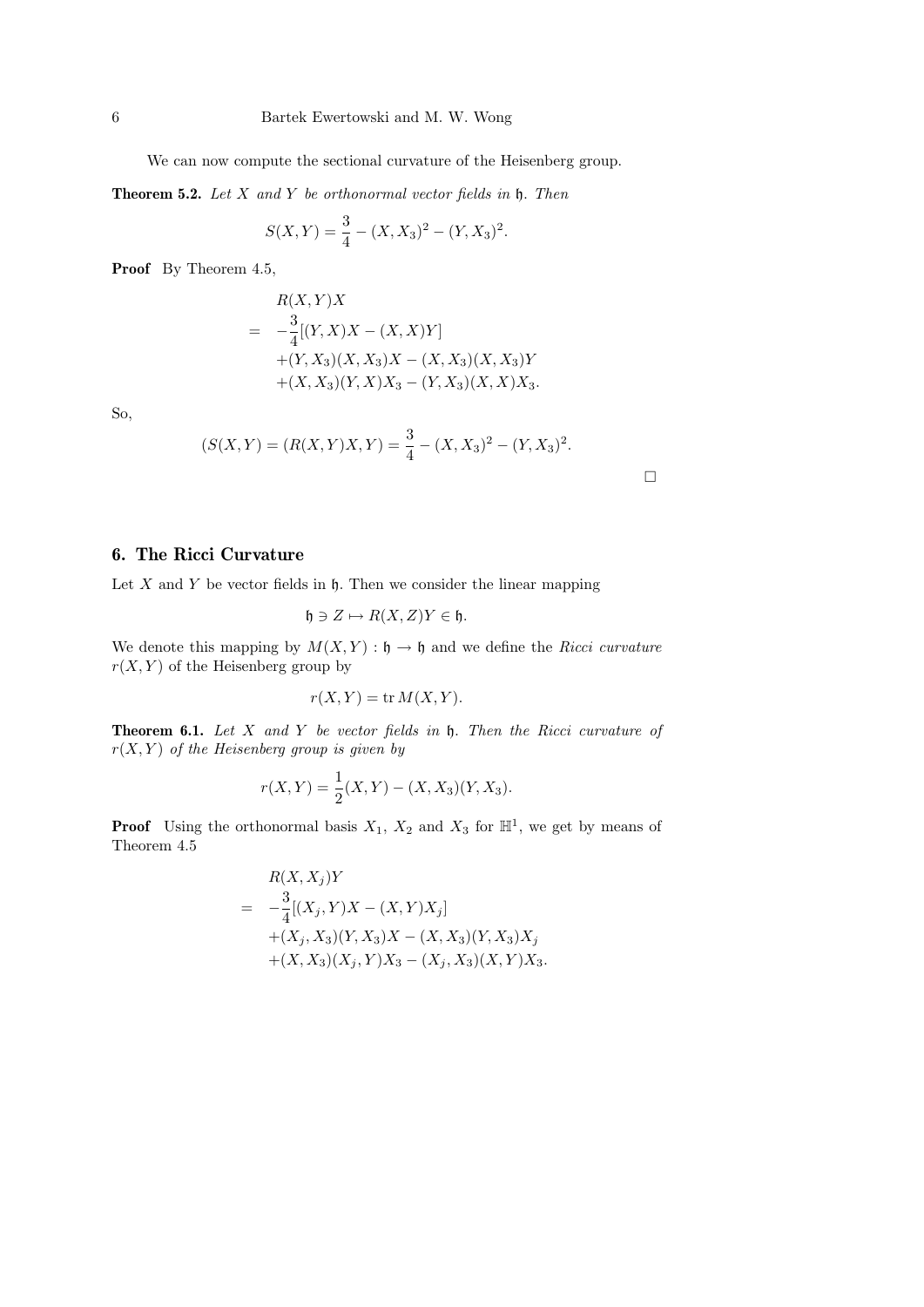We can now compute the sectional curvature of the Heisenberg group.

**Theorem 5.2.** Let  $X$  and  $Y$  be orthonormal vector fields in  $\mathfrak{h}$ . Then

$$
S(X,Y) = \frac{3}{4} - (X,X_3)^2 - (Y,X_3)^2.
$$

Proof By Theorem 4.5,

$$
R(X,Y)X
$$
  
=  $-\frac{3}{4}[(Y,X)X - (X,X)Y]$   
+ $(Y, X_3)(X, X_3)X - (X, X_3)(X, X_3)Y$   
+ $(X, X_3)(Y, X)X_3 - (Y, X_3)(X, X)X_3.$ 

So,

$$
(S(X,Y) = (R(X,Y)X,Y) = \frac{3}{4} - (X,X_3)^2 - (Y,X_3)^2.
$$

 $\Box$ 

# 6. The Ricci Curvature

Let  $X$  and  $Y$  be vector fields in  $\mathfrak h$ . Then we consider the linear mapping

$$
\mathfrak{h}\ni Z\mapsto R(X,Z)Y\in\mathfrak{h}.
$$

We denote this mapping by  $M(X, Y) : \mathfrak{h} \to \mathfrak{h}$  and we define the Ricci curvature  $r(X, Y)$  of the Heisenberg group by

$$
r(X, Y) = \text{tr } M(X, Y).
$$

**Theorem 6.1.** Let  $X$  and  $Y$  be vector fields in  $\mathfrak{h}$ . Then the Ricci curvature of  $r(X, Y)$  of the Heisenberg group is given by

$$
r(X,Y) = \frac{1}{2}(X,Y) - (X,X_3)(Y,X_3).
$$

**Proof** Using the orthonormal basis  $X_1$ ,  $X_2$  and  $X_3$  for  $\mathbb{H}^1$ , we get by means of Theorem 4.5

$$
R(X, X_j)Y
$$
  
=  $-\frac{3}{4}[(X_j, Y)X - (X, Y)X_j]$   
+ $(X_j, X_3)(Y, X_3)X - (X, X_3)(Y, X_3)X_j$   
+ $(X, X_3)(X_j, Y)X_3 - (X_j, X_3)(X, Y)X_3.$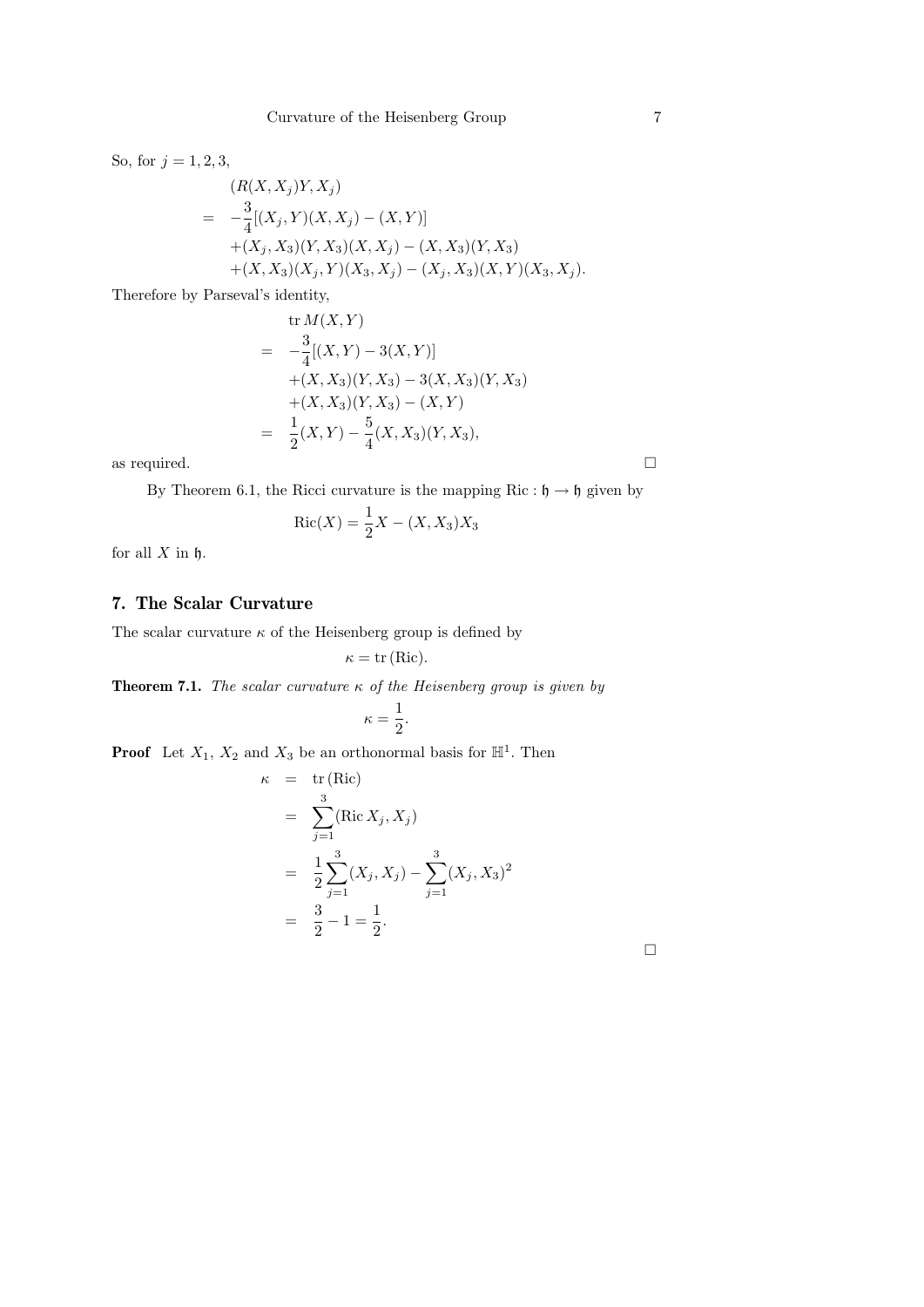So, for  $j = 1, 2, 3$ ,

$$
(R(X, X_j)Y, X_j)
$$
  
=  $-\frac{3}{4}[(X_j, Y)(X, X_j) - (X, Y)]$   
+ $(X_j, X_3)(Y, X_3)(X, X_j) - (X, X_3)(Y, X_3)$   
+ $(X, X_3)(X_j, Y)(X_3, X_j) - (X_j, X_3)(X, Y)(X_3, X_j).$ 

Therefore by Parseval's identity,

$$
\text{tr}\,M(X,Y) \\
= -\frac{3}{4}[(X,Y) - 3(X,Y)] \\
+ (X,X_3)(Y,X_3) - 3(X,X_3)(Y,X_3) \\
+ (X,X_3)(Y,X_3) - (X,Y) \\
= \frac{1}{2}(X,Y) - \frac{5}{4}(X,X_3)(Y,X_3),
$$

as required.  $\hfill \square$ 

By Theorem 6.1, the Ricci curvature is the mapping Ric :  $\mathfrak{h} \to \mathfrak{h}$  given by

$$
Ric(X) = \frac{1}{2}X - (X, X_3)X_3
$$

for all  $X$  in  $\mathfrak h$ .

# 7. The Scalar Curvature

The scalar curvature  $\kappa$  of the Heisenberg group is defined by

$$
\kappa = \text{tr}(\text{Ric}).
$$

**Theorem 7.1.** The scalar curvature  $\kappa$  of the Heisenberg group is given by

$$
\kappa=\frac{1}{2}.
$$

**Proof** Let  $X_1, X_2$  and  $X_3$  be an orthonormal basis for  $\mathbb{H}^1$ . Then

 $\kappa$ 

$$
= tr (Ric)
$$
  
=  $\sum_{j=1}^{3} (Ric X_j, X_j)$   
=  $\frac{1}{2} \sum_{j=1}^{3} (X_j, X_j) - \sum_{j=1}^{3} (X_j, X_3)^2$   
=  $\frac{3}{2} - 1 = \frac{1}{2}.$ 

 $\Box$